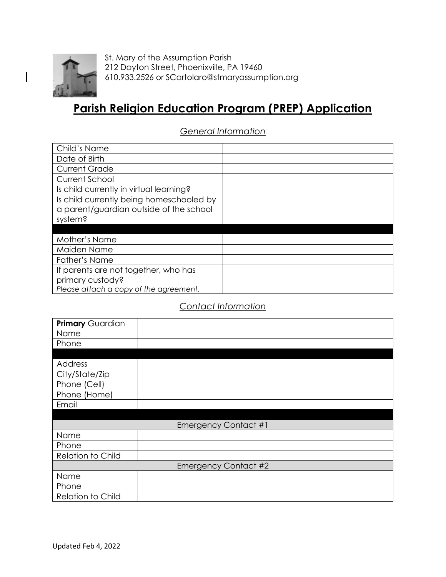

St. Mary of the Assumption Parish 212 Dayton Street, Phoenixville, PA 19460 610.933.2526 or SCartolaro@stmaryassumption.org

# **Parish Religion Education Program (PREP) Application**

*General Information*

| Child's Name                             |  |
|------------------------------------------|--|
| Date of Birth                            |  |
| <b>Current Grade</b>                     |  |
| Current School                           |  |
| Is child currently in virtual learning?  |  |
| Is child currently being homeschooled by |  |
| a parent/guardian outside of the school  |  |
| system?                                  |  |
|                                          |  |
| Mother's Name                            |  |
| Maiden Name                              |  |
| Father's Name                            |  |
| If parents are not together, who has     |  |
| primary custody?                         |  |
| Please attach a copy of the agreement.   |  |

## *Contact Information*

| Primary Guardian         |                             |
|--------------------------|-----------------------------|
| Name                     |                             |
| Phone                    |                             |
|                          |                             |
| Address                  |                             |
| City/State/Zip           |                             |
| Phone (Cell)             |                             |
| Phone (Home)             |                             |
| Email                    |                             |
|                          |                             |
|                          | <b>Emergency Contact #1</b> |
| Name                     |                             |
| Phone                    |                             |
| <b>Relation to Child</b> |                             |
|                          | <b>Emergency Contact #2</b> |
| Name                     |                             |
| Phone                    |                             |
| <b>Relation to Child</b> |                             |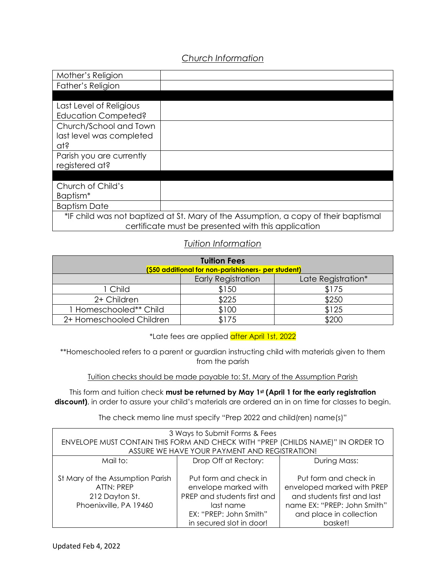## *Church Information*

| Mother's Religion                                                                   |  |
|-------------------------------------------------------------------------------------|--|
| Father's Religion                                                                   |  |
|                                                                                     |  |
| Last Level of Religious                                                             |  |
| <b>Education Competed?</b>                                                          |  |
| Church/School and Town                                                              |  |
| last level was completed                                                            |  |
| ats                                                                                 |  |
| Parish you are currently                                                            |  |
| registered at?                                                                      |  |
|                                                                                     |  |
| Church of Child's                                                                   |  |
| Baptism <sup>*</sup>                                                                |  |
| <b>Baptism Date</b>                                                                 |  |
| *IF child was not baptized at St. Mary of the Assumption, a copy of their baptismal |  |
| certificate must be presented with this application                                 |  |

#### *Tuition Information*

| <b>Tuition Fees</b><br>(\$50 additional for non-parishioners- per student) |                                                 |       |  |
|----------------------------------------------------------------------------|-------------------------------------------------|-------|--|
|                                                                            | <b>Early Registration</b><br>Late Registration* |       |  |
| 1 Child                                                                    | \$150                                           | \$175 |  |
| 2+ Children                                                                | \$225                                           | \$250 |  |
| 1 Homeschooled** Child                                                     | \$100                                           | \$125 |  |
| 2+ Homeschooled Children                                                   | \$175                                           | \$200 |  |

\*Late fees are applied after April 1st, 2022

\*\*Homeschooled refers to a parent or guardian instructing child with materials given to them from the parish

Tuition checks should be made payable to: St. Mary of the Assumption Parish

This form and tuition check **must be returned by May 1st (April 1 for the early registration** discount), in order to assure your child's materials are ordered an in on time for classes to begin.

The check memo line must specify "Prep 2022 and child(ren) name(s)"

| 3 Ways to Submit Forms & Fees<br>ENVELOPE MUST CONTAIN THIS FORM AND CHECK WITH "PREP (CHILDS NAME)" IN ORDER TO |                                                                                                                                                 |                                                                                                                                                         |
|------------------------------------------------------------------------------------------------------------------|-------------------------------------------------------------------------------------------------------------------------------------------------|---------------------------------------------------------------------------------------------------------------------------------------------------------|
| ASSURE WE HAVE YOUR PAYMENT AND REGISTRATION!                                                                    |                                                                                                                                                 |                                                                                                                                                         |
| Mail to:                                                                                                         | Drop Off at Rectory:                                                                                                                            | During Mass:                                                                                                                                            |
| St Mary of the Assumption Parish<br>ATTN: PREP<br>212 Dayton St.<br>Phoenixville, PA 19460                       | Put form and check in<br>envelope marked with<br>PREP and students first and<br>last name<br>EX: "PREP: John Smith"<br>in secured slot in door! | Put form and check in<br>enveloped marked with PREP<br>and students first and last<br>name EX: "PREP: John Smith"<br>and place in collection<br>basket! |